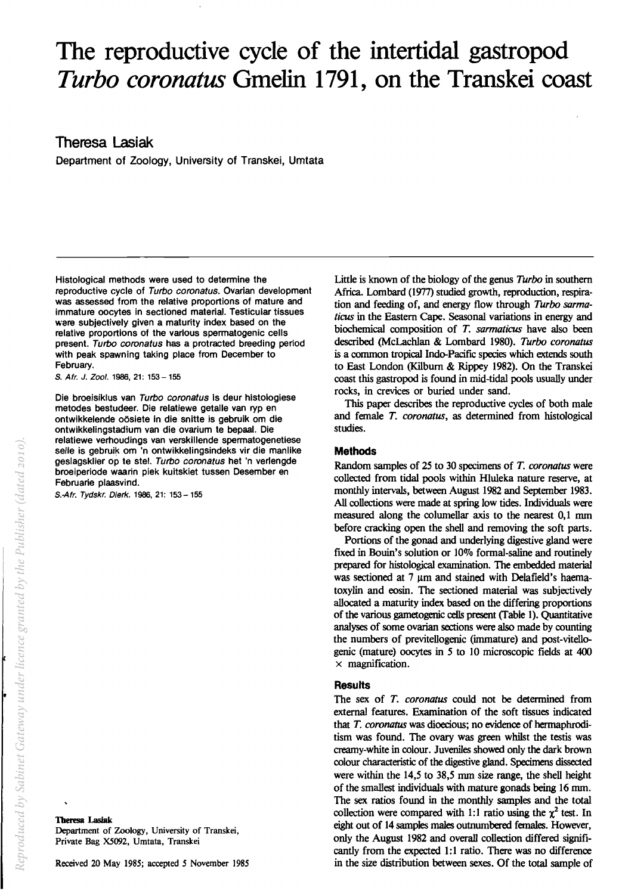# **The reproductive cycle of the intertidal gastropod Turbo coronatus Gmelin 1791, on the Transkei coast**

**Theresa Lasiak** 

Department of Zoology, University of Transkei, Umtata

Histological methods were used to determine the reproductive cycle of Turbo coronatus. Ovarian development was assessed from the relative proportions of mature and immature oocytes in sectioned material. Testicular tissues ware subjectively given a maturity index based on the relative proportions of the various spermatogenic cells present. Turbo coronatus has a protracted breeding period with peak spawning taking place from December to February.

S. Afr. J. Zool. 1986, 21: 153 - 155

Die broeisiklus van Turbo coronatus is deur histologiese metodes bestudeer. Die relatiewe getalle van ryp en ontwikkelende oosiete in die snitte is gebruik om die ontwikkelingstadium van die ovarium te bepaal. Die relatiewe verhoudings van verskillende spermatogenetiese selle is gebruik om 'n ontwikkelingsindeks vir die manlike geslagsklier op te stel. Turbo coronatus het 'n verlengde broeiperiode waarin piek kuitskiet tussen Desember en Februarie plaasvind.

S.·Afr. Tydskr. Dierk. 1986, 21: 153-155

Theresa Lasiak Department of Zoology, University of Transkei, Private Bag *XS092,* Umtata, Transkei

Little is known of the biology of the genus *Turbo* in southern Africa. Lombard (1977) studied growth, reproduction, respiration and feeding of, and energy flow through *Turbo sarma*ticus in the Eastern Cape. Seasonal variations in energy and biochemical composition of *T. sarmaticus* have also been described (McLachlan & Lombard 1980). *Turbo coronatus*  is a common tropical Indo-Pacific species which extends south to East London (Kilburn & Rippey 1982). On the Transkei coast this gastropod is found in mid-tidal pools usually under rocks, in crevices or buried under sand.

This paper describes the reproductive cycles of both male and female *T. coronatus,* as determined from histological studies.

## **Methods**

Random samples of 25 to 30 specimens of *T. coronatus* were collected from tidal pools within Hluleka nature reserve, at monthly intervals, between August 1982 and September 1983. All collections were made at spring low tides. Individuals were measured along the columellar axis to the nearest 0,1 mm before cracking open the shell and removing the soft parts.

Portions of the gonad and underlying digestive gland were fixed in Bouin's solution or 10% formal-saline and routinely prepared for histological examination. The embedded material was sectioned at  $7 \mu m$  and stained with Delafield's haematoxylin and eosin. The sectioned material was subjectively allocated a maturity index based on the differing proportions of the various gametogenic cells present (fable 1). Quantitative analyses of some ovarian sections were also made by counting the numbers of previtellogenic (immature) and post-vitellogenic (mature) oocytes in 5 to 10 microscopic fields at 400  $\times$  magnification.

## **Results**

The sex of *T. coronatus* could not be determined from external features. Examination of the soft tissues indicated that *T. coronatus* was dioecious; no evidence of hermaphroditism was found. The ovary was green whilst the testis was creamy-white in colour. Juveniles showed only the dark brown colour characteristic of the digestive gland. Specimens dissected were within the 14,5 to 38,5 mm size range, the shell height of the smallest individuals with mature gonads being 16 mm. The sex ratios found in the monthly samples and the total collection were compared with 1:1 ratio using the  $\chi^2$  test. In eight out of 14 samples males outnumbered females. However, only the August 1982 and overall collection differed signifIcantly from the expected 1:1 ratio. There was no difference in the size distribution between sexes. Of the total sample of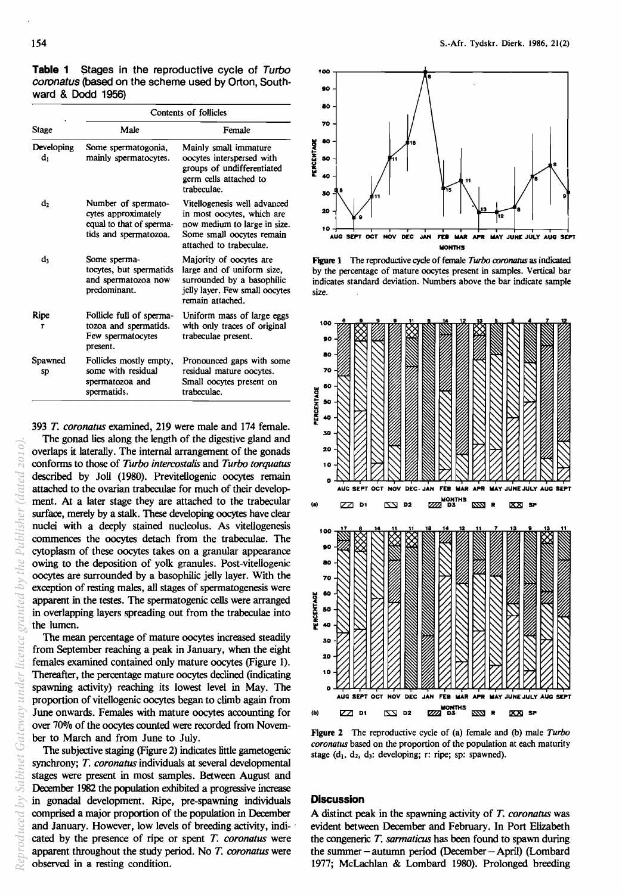Table 1 Stages in the reproductive cycle of Turbo coronatus (based on the scheme used by Orton, Southward & Dodd 1956)

| Stage             | Contents of follicles                                                                           |                                                                                                                                                    |
|-------------------|-------------------------------------------------------------------------------------------------|----------------------------------------------------------------------------------------------------------------------------------------------------|
|                   | Male                                                                                            | Female                                                                                                                                             |
| Developing<br>dı. | Some spermatogonia,<br>mainly spermatocytes.                                                    | Mainly small immature<br>oocytes interspersed with<br>groups of undifferentiated<br>germ cells attached to<br>trabeculae.                          |
| d2                | Number of spermato-<br>cytes approximately<br>equal to that of sperma-<br>tids and spermatozoa. | Vitellogenesis well advanced<br>in most oocytes, which are<br>now medium to large in size.<br>Some small oocytes remain<br>attached to trabeculae. |
| d,                | Some sperma-<br>tocytes, but spermatids<br>and spermatozoa now<br>predominant.                  | Majority of oocytes are<br>large and of uniform size,<br>surrounded by a basophilic<br>jelly layer. Few small oocytes<br>remain attached.          |
| Ripe<br>г         | Follicle full of sperma-<br>tozoa and spermatids.<br>Few spermatocytes<br>present.              | Uniform mass of large eggs<br>with only traces of original<br>trabeculae present.                                                                  |
| Spawned<br>sp     | Follicles mostly empty,<br>some with residual<br>spermatozoa and<br>spermatids.                 | Pronounced gaps with some<br>residual mature oocytes.<br>Small oocytes present on<br>trabeculae.                                                   |

*393 T. coronatus* examined, 219 were male and 174 female.

The gonad lies along the length of the digestive gland and overlaps it laterally. The internal arrangement of the gonads conforms to those of *Turbo intercostalis* and *Turbo torquatus*  described by Joll (1980). Previtellogenic oocytes remain attached to the ovarian trabeculae for much of their development. At a later stage they are attached to the trabecular surface, merely by a stalk. These developing oocytes have clear nuclei with a deeply stained nucleolus. As vitellogenesis commences the oocytes detach from the trabeculae. The cytoplasm of these oocytes takes on a granular appearance owing to the deposition of yolk granules. Post-vitellogenic oocytes are surrounded by a basophilic jelly layer. With the exception of resting males, all stages of spermatogenesis were apparent in the testes. The spermatogenic cells were arranged in overlapping layers spreading out from the trabeculae into the lumen.

The mean percentage of mature oocytes increased steadily from September reaching a peak in January, when the eight females examined contained only mature oocytes (Figure 1). Thereafter, the percentage mature oocytes declined (indicating spawning activity) reaching its lowest level in May. The proportion of vitellogenic oocytes began to climb again from June onwards. Females with mature oocytes accounting for over 70% of the oocytes counted were recorded from November to March and from June to July.

The subjective staging (Figure 2) indicates little gametogenic synchrony; *T. coronatus* individuals at several developmental stages were present in most samples. Between August and December 1982 the population exhibited a progressive increase in gonadal development. Ripe, pre-spawning individuals comprised a major proportion of the population in December and January. However, low levels of breeding activity, indi- ' cated by the presence of ripe or spent *T. coronatus* were apparent throughout the study period. No *T. coronatus* were observed in a resting condition.



Figure 1 The reproductive cycle of female *Turbo coronatus* as indicated by the percentage of mature OOCytes present in samples. Vertical bar indicates standard deviation. Numbers above the bar indicate sample size.



Figure 1 The reproductive cycle of (a) female and (b) male *Turbo coronatus* based on the proportion of the population at each maturity stage  $(d_1, d_2, d_3:$  developing; r: ripe; sp: spawned).

### **Discussion**

A distinct peak in the spawning activity of *T. coronatus* was evident between December and February. In Port Elizabeth the congeneric T. sarmaticus has been found to spawn during the summer  $-$  autumn period (December  $-$  April) (Lombard 1977; McLachlan & Lombard 1980). Prolonged breeding